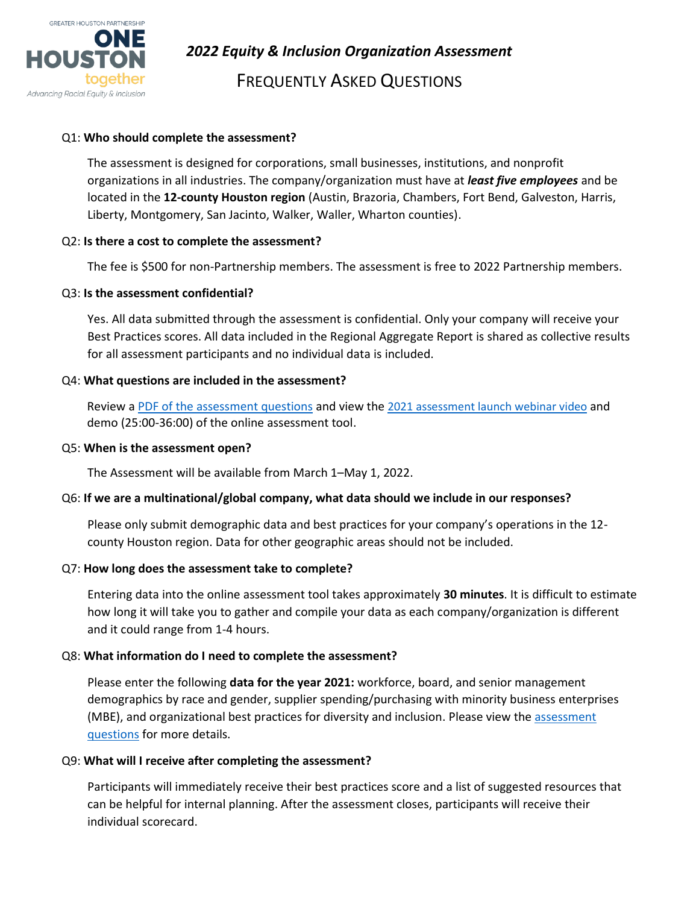

*2022 Equity & Inclusion Organization Assessment*

FREQUENTLY ASKED QUESTIONS

# Q1: **Who should complete the assessment?**

The assessment is designed for corporations, small businesses, institutions, and nonprofit organizations in all industries. The company/organization must have at *least five employees* and be located in the **12-county Houston region** (Austin, Brazoria, Chambers, Fort Bend, Galveston, Harris, Liberty, Montgomery, San Jacinto, Walker, Waller, Wharton counties).

# Q2: **Is there a cost to complete the assessment?**

The fee is \$500 for non-Partnership members. The assessment is free to 2022 Partnership members.

## Q3: **Is the assessment confidential?**

Yes. All data submitted through the assessment is confidential. Only your company will receive your Best Practices scores. All data included in the Regional Aggregate Report is shared as collective results for all assessment participants and no individual data is included.

## Q4: **What questions are included in the assessment?**

Review a [PDF of the assessment questions](https://www.houston.org/sites/default/files/2022-03/GHP_EI_Assessment%20Questions_2022Final.pdf) and view the 2021 assessment [launch webinar video](https://www.houston.org/news/houston-area-equity-inclusion-assessment-now-live) and demo (25:00-36:00) of the online assessment tool.

## Q5: **When is the assessment open?**

The Assessment will be available from March 1–May 1, 2022.

# Q6: **If we are a multinational/global company, what data should we include in our responses?**

Please only submit demographic data and best practices for your company's operations in the 12 county Houston region. Data for other geographic areas should not be included.

## Q7: **How long does the assessment take to complete?**

Entering data into the online assessment tool takes approximately **30 minutes**. It is difficult to estimate how long it will take you to gather and compile your data as each company/organization is different and it could range from 1-4 hours.

## Q8: **What information do I need to complete the assessment?**

Please enter the following **data for the year 2021:** workforce, board, and senior management demographics by race and gender, supplier spending/purchasing with minority business enterprises (MBE), and organizational best practices for diversity and inclusion. Please view the [assessment](https://www.houston.org/sites/default/files/2022-03/GHP_EI_Assessment%20Questions_2022Final.pdf)  [questions](https://www.houston.org/sites/default/files/2022-03/GHP_EI_Assessment%20Questions_2022Final.pdf) for more details.

## Q9: **What will I receive after completing the assessment?**

Participants will immediately receive their best practices score and a list of suggested resources that can be helpful for internal planning. After the assessment closes, participants will receive their individual scorecard.